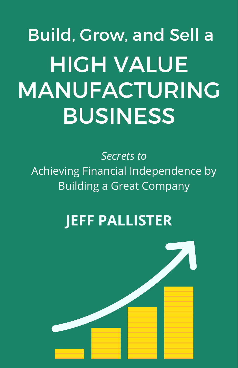# HIGH VALUE MANUFACTURING BUSINESS Build, Grow, and Sell a

*Secrets to* Achieving Financial Independence by Building a Great Company

# **JEFF PALLISTER**

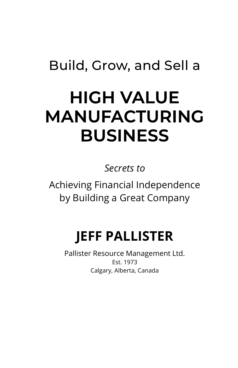# Build, Grow, and Sell a

# HIGH VALUE MANUFACTURING BUSINESS

Secrets to

Achieving Financial Independence by Building a Great Company

# JEFF PALLISTER

Pallister Resource Management Ltd. Est. 1973 Calgary, Alberta, Canada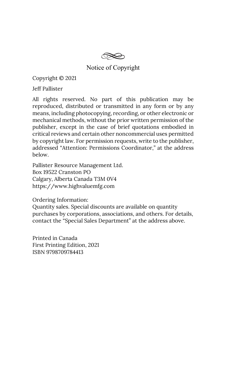Notice of Copyright

Copyright © 2021

Jeff Pallister

All rights reserved. No part of this publication may be reproduced, distributed or transmitted in any form or by any means, including photocopying, recording, or other electronic or mechanical methods, without the prior written permission of the publisher, except in the case of brief quotations embodied in critical reviews and certain other noncommercial uses permitted by copyright law. For permission requests, write to the publisher, addressed "Attention: Permissions Coordinator," at the address below.

Pallister Resource Management Ltd. Box 19522 Cranston PO Calgary, Alberta Canada T3M 0V4 https://www.highvaluemfg.com

Ordering Information:

Quantity sales. Special discounts are available on quantity purchases by corporations, associations, and others. For details, contact the "Special Sales Department" at the address above.

Printed in Canada First Printing Edition, 2021 ISBN 9798709784413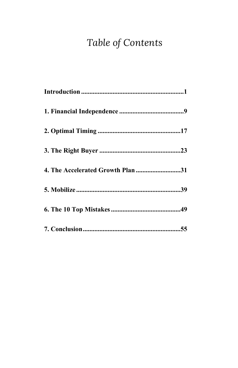# Table of Contents

| 4. The Accelerated Growth Plan 31 |
|-----------------------------------|
|                                   |
|                                   |
|                                   |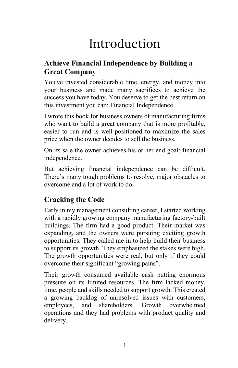# Introduction

## Achieve Financial Independence by Building a Great Company

You've invested considerable time, energy, and money into your business and made many sacrifices to achieve the success you have today. You deserve to get the best return on this investment you can: Financial Independence.

I wrote this book for business owners of manufacturing firms who want to build a great company that is more profitable, easier to run and is well-positioned to maximize the sales price when the owner decides to sell the business.

On its sale the owner achieves his or her end goal: financial independence.

But achieving financial independence can be difficult. There's many tough problems to resolve, major obstacles to overcome and a lot of work to do.

# Cracking the Code

Early in my management consulting career, I started working with a rapidly growing company manufacturing factory-built buildings. The firm had a good product. Their market was expanding, and the owners were pursuing exciting growth opportunities. They called me in to help build their business to support its growth. They emphasized the stakes were high. The growth opportunities were real, but only if they could overcome their significant "growing pains".

Their growth consumed available cash putting enormous pressure on its limited resources. The firm lacked money, time, people and skills needed to support growth. This created a growing backlog of unresolved issues with customers, employees, and shareholders. Growth overwhelmed operations and they had problems with product quality and delivery.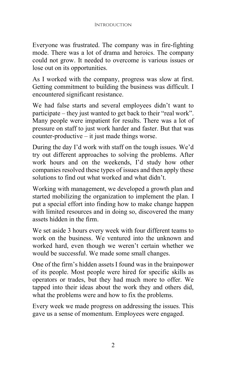Everyone was frustrated. The company was in fire-fighting mode. There was a lot of drama and heroics. The company could not grow. It needed to overcome is various issues or lose out on its opportunities.

As I worked with the company, progress was slow at first. Getting commitment to building the business was difficult. I encountered significant resistance.

We had false starts and several employees didn't want to participate – they just wanted to get back to their "real work". Many people were impatient for results. There was a lot of pressure on staff to just work harder and faster. But that was counter-productive – it just made things worse.

During the day I'd work with staff on the tough issues. We'd try out different approaches to solving the problems. After work hours and on the weekends, I'd study how other companies resolved these types of issues and then apply these solutions to find out what worked and what didn't.

Working with management, we developed a growth plan and started mobilizing the organization to implement the plan. I put a special effort into finding how to make change happen with limited resources and in doing so, discovered the many assets hidden in the firm.

We set aside 3 hours every week with four different teams to work on the business. We ventured into the unknown and worked hard, even though we weren't certain whether we would be successful. We made some small changes.

One of the firm's hidden assets I found was in the brainpower of its people. Most people were hired for specific skills as operators or trades, but they had much more to offer. We tapped into their ideas about the work they and others did, what the problems were and how to fix the problems.

Every week we made progress on addressing the issues. This gave us a sense of momentum. Employees were engaged.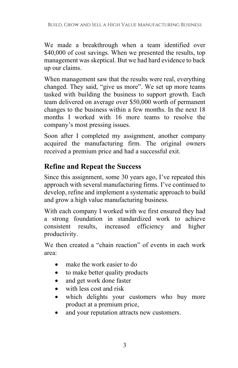We made a breakthrough when a team identified over \$40,000 of cost savings. When we presented the results, top management was skeptical. But we had hard evidence to back up our claims.

When management saw that the results were real, everything changed. They said, "give us more". We set up more teams tasked with building the business to support growth. Each team delivered on average over \$50,000 worth of permanent changes to the business within a few months. In the next 18 months I worked with 16 more teams to resolve the company's most pressing issues.

Soon after I completed my assignment, another company acquired the manufacturing firm. The original owners received a premium price and had a successful exit.

### Refine and Repeat the Success

Since this assignment, some 30 years ago, I've repeated this approach with several manufacturing firms. I've continued to develop, refine and implement a systematic approach to build and grow a high value manufacturing business.

With each company I worked with we first ensured they had a strong foundation in standardized work to achieve consistent results, increased efficiency and higher productivity.

We then created a "chain reaction" of events in each work area:

- make the work easier to do
- to make better quality products
- and get work done faster
- with less cost and risk
- which delights your customers who buy more product at a premium price,
- and your reputation attracts new customers.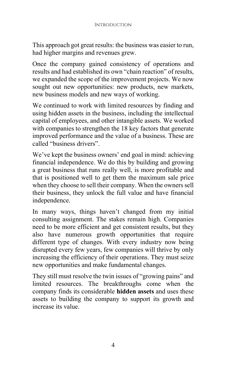This approach got great results: the business was easier to run, had higher margins and revenues grew.

Once the company gained consistency of operations and results and had established its own "chain reaction" of results, we expanded the scope of the improvement projects. We now sought out new opportunities: new products, new markets, new business models and new ways of working.

We continued to work with limited resources by finding and using hidden assets in the business, including the intellectual capital of employees, and other intangible assets. We worked with companies to strengthen the 18 key factors that generate improved performance and the value of a business. These are called "business drivers".

We've kept the business owners' end goal in mind: achieving financial independence. We do this by building and growing a great business that runs really well, is more profitable and that is positioned well to get them the maximum sale price when they choose to sell their company. When the owners sell their business, they unlock the full value and have financial independence.

In many ways, things haven't changed from my initial consulting assignment. The stakes remain high. Companies need to be more efficient and get consistent results, but they also have numerous growth opportunities that require different type of changes. With every industry now being disrupted every few years, few companies will thrive by only increasing the efficiency of their operations. They must seize new opportunities and make fundamental changes.

They still must resolve the twin issues of "growing pains" and limited resources. The breakthroughs come when the company finds its considerable hidden assets and uses these assets to building the company to support its growth and increase its value.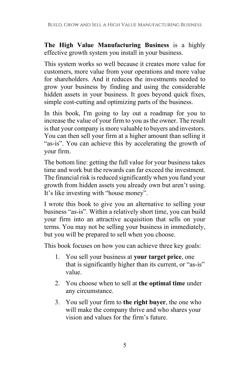The High Value Manufacturing Business is a highly effective growth system you install in your business.

This system works so well because it creates more value for customers, more value from your operations and more value for shareholders. And it reduces the investments needed to grow your business by finding and using the considerable hidden assets in your business. It goes beyond quick fixes, simple cost-cutting and optimizing parts of the business.

In this book, I'm going to lay out a roadmap for you to increase the value of your firm to you as the owner. The result is that your company is more valuable to buyers and investors. You can then sell your firm at a higher amount than selling it "as-is". You can achieve this by accelerating the growth of your firm.

The bottom line: getting the full value for your business takes time and work but the rewards can far exceed the investment. The financial risk is reduced significantly when you fund your growth from hidden assets you already own but aren't using. It's like investing with "house money".

I wrote this book to give you an alternative to selling your business "as-is". Within a relatively short time, you can build your firm into an attractive acquisition that sells on your terms. You may not be selling your business in immediately, but you will be prepared to sell when you choose.

This book focuses on how you can achieve three key goals:

- 1. You sell your business at **your target price**, one that is significantly higher than its current, or "as-is" value.
- 2. You choose when to sell at the optimal time under any circumstance.
- 3. You sell your firm to the right buyer, the one who will make the company thrive and who shares your vision and values for the firm's future.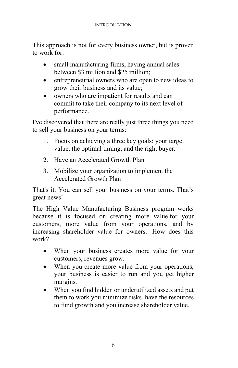This approach is not for every business owner, but is proven to work for:

- small manufacturing firms, having annual sales between \$3 million and \$25 million;
- entrepreneurial owners who are open to new ideas to grow their business and its value;
- owners who are impatient for results and can commit to take their company to its next level of performance.

I've discovered that there are really just three things you need to sell your business on your terms:

- 1. Focus on achieving a three key goals: your target value, the optimal timing, and the right buyer.
- 2. Have an Accelerated Growth Plan
- 3. Mobilize your organization to implement the Accelerated Growth Plan

That's it. You can sell your business on your terms. That's great news!

The High Value Manufacturing Business program works because it is focused on creating more value for your customers, more value from your operations, and by increasing shareholder value for owners. How does this work?

- When your business creates more value for your customers, revenues grow.
- When you create more value from your operations, your business is easier to run and you get higher margins.
- When you find hidden or underutilized assets and put them to work you minimize risks, have the resources to fund growth and you increase shareholder value.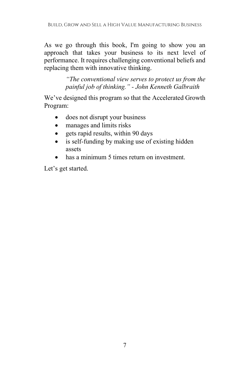As we go through this book, I'm going to show you an approach that takes your business to its next level of performance. It requires challenging conventional beliefs and replacing them with innovative thinking.

> "The conventional view serves to protect us from the painful job of thinking." - John Kenneth Galbraith

We've designed this program so that the Accelerated Growth Program:

- does not disrupt your business
- manages and limits risks
- gets rapid results, within 90 days
- is self-funding by making use of existing hidden assets
- has a minimum 5 times return on investment.

Let's get started.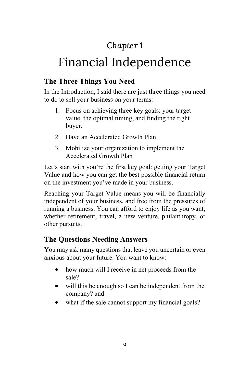# Chapter 1

# Financial Independence

### The Three Things You Need

In the Introduction, I said there are just three things you need to do to sell your business on your terms:

- 1. Focus on achieving three key goals: your target value, the optimal timing, and finding the right buyer.
- 2. Have an Accelerated Growth Plan
- 3. Mobilize your organization to implement the Accelerated Growth Plan

Let's start with you're the first key goal: getting your Target Value and how you can get the best possible financial return on the investment you've made in your business.

Reaching your Target Value means you will be financially independent of your business, and free from the pressures of running a business. You can afford to enjoy life as you want, whether retirement, travel, a new venture, philanthropy, or other pursuits.

## The Questions Needing Answers

You may ask many questions that leave you uncertain or even anxious about your future. You want to know:

- how much will I receive in net proceeds from the sale?
- will this be enough so I can be independent from the company? and
- what if the sale cannot support my financial goals?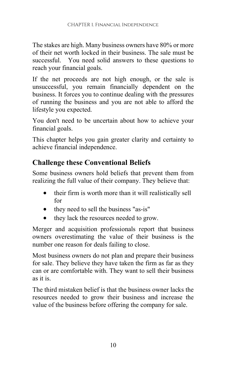The stakes are high. Many business owners have 80% or more of their net worth locked in their business. The sale must be successful. You need solid answers to these questions to reach your financial goals.

If the net proceeds are not high enough, or the sale is unsuccessful, you remain financially dependent on the business. It forces you to continue dealing with the pressures of running the business and you are not able to afford the lifestyle you expected.

You don't need to be uncertain about how to achieve your financial goals.

This chapter helps you gain greater clarity and certainty to achieve financial independence.

### Challenge these Conventional Beliefs

Some business owners hold beliefs that prevent them from realizing the full value of their company. They believe that:

- their firm is worth more than it will realistically sell for
- they need to sell the business "as-is"
- they lack the resources needed to grow.

Merger and acquisition professionals report that business owners overestimating the value of their business is the number one reason for deals failing to close.

Most business owners do not plan and prepare their business for sale. They believe they have taken the firm as far as they can or are comfortable with. They want to sell their business as it is.

The third mistaken belief is that the business owner lacks the resources needed to grow their business and increase the value of the business before offering the company for sale.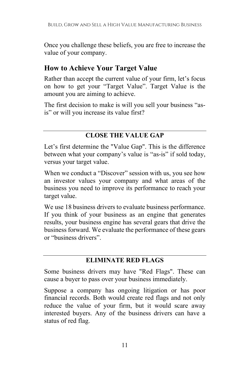Once you challenge these beliefs, you are free to increase the value of your company.

### How to Achieve Your Target Value

Rather than accept the current value of your firm, let's focus on how to get your "Target Value". Target Value is the amount you are aiming to achieve.

The first decision to make is will you sell your business "asis" or will you increase its value first?

#### CLOSE THE VALUE GAP

Let's first determine the "Value Gap". This is the difference between what your company's value is "as-is" if sold today, versus your target value.

When we conduct a "Discover" session with us, you see how an investor values your company and what areas of the business you need to improve its performance to reach your target value.

We use 18 business drivers to evaluate business performance. If you think of your business as an engine that generates results, your business engine has several gears that drive the business forward. We evaluate the performance of these gears or "business drivers".

#### ELIMINATE RED FLAGS

Some business drivers may have "Red Flags". These can cause a buyer to pass over your business immediately.

Suppose a company has ongoing litigation or has poor financial records. Both would create red flags and not only reduce the value of your firm, but it would scare away interested buyers. Any of the business drivers can have a status of red flag.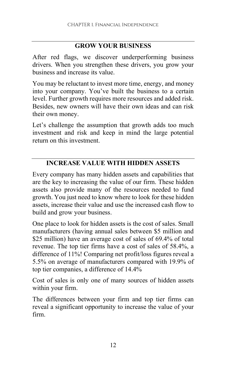#### GROW YOUR BUSINESS

After red flags, we discover underperforming business drivers. When you strengthen these drivers, you grow your business and increase its value.

You may be reluctant to invest more time, energy, and money into your company. You've built the business to a certain level. Further growth requires more resources and added risk. Besides, new owners will have their own ideas and can risk their own money.

Let's challenge the assumption that growth adds too much investment and risk and keep in mind the large potential return on this investment.

#### INCREASE VALUE WITH HIDDEN ASSETS

Every company has many hidden assets and capabilities that are the key to increasing the value of our firm. These hidden assets also provide many of the resources needed to fund growth. You just need to know where to look for these hidden assets, increase their value and use the increased cash flow to build and grow your business.

One place to look for hidden assets is the cost of sales. Small manufacturers (having annual sales between \$5 million and \$25 million) have an average cost of sales of 69.4% of total revenue. The top tier firms have a cost of sales of 58.4%, a difference of 11%! Comparing net profit/loss figures reveal a 5.5% on average of manufacturers compared with 19.9% of top tier companies, a difference of 14.4%

Cost of sales is only one of many sources of hidden assets within your firm.

The differences between your firm and top tier firms can reveal a significant opportunity to increase the value of your firm.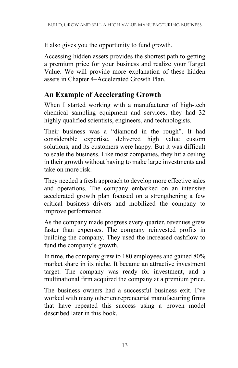It also gives you the opportunity to fund growth.

Accessing hidden assets provides the shortest path to getting a premium price for your business and realize your Target Value. We will provide more explanation of these hidden assets in Chapter 4–Accelerated Growth Plan.

## An Example of Accelerating Growth

When I started working with a manufacturer of high-tech chemical sampling equipment and services, they had 32 highly qualified scientists, engineers, and technologists.

Their business was a "diamond in the rough". It had considerable expertise, delivered high value custom solutions, and its customers were happy. But it was difficult to scale the business. Like most companies, they hit a ceiling in their growth without having to make large investments and take on more risk.

They needed a fresh approach to develop more effective sales and operations. The company embarked on an intensive accelerated growth plan focused on a strengthening a few critical business drivers and mobilized the company to improve performance.

As the company made progress every quarter, revenues grew faster than expenses. The company reinvested profits in building the company. They used the increased cashflow to fund the company's growth.

In time, the company grew to 180 employees and gained 80% market share in its niche. It became an attractive investment target. The company was ready for investment, and a multinational firm acquired the company at a premium price.

The business owners had a successful business exit. I've worked with many other entrepreneurial manufacturing firms that have repeated this success using a proven model described later in this book.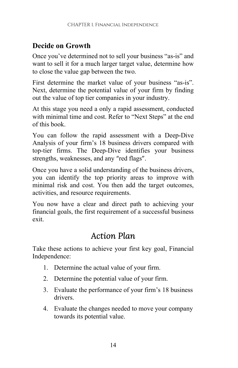## Decide on Growth

Once you've determined not to sell your business "as-is" and want to sell it for a much larger target value, determine how to close the value gap between the two.

First determine the market value of your business "as-is". Next, determine the potential value of your firm by finding out the value of top tier companies in your industry.

At this stage you need a only a rapid assessment, conducted with minimal time and cost. Refer to "Next Steps" at the end of this book.

You can follow the rapid assessment with a Deep-Dive Analysis of your firm's 18 business drivers compared with top-tier firms. The Deep-Dive identifies your business strengths, weaknesses, and any "red flags".

Once you have a solid understanding of the business drivers, you can identify the top priority areas to improve with minimal risk and cost. You then add the target outcomes, activities, and resource requirements.

You now have a clear and direct path to achieving your financial goals, the first requirement of a successful business exit.

# Action Plan

Take these actions to achieve your first key goal, Financial Independence:

- 1. Determine the actual value of your firm.
- 2. Determine the potential value of your firm.
- 3. Evaluate the performance of your firm's 18 business drivers.
- 4. Evaluate the changes needed to move your company towards its potential value.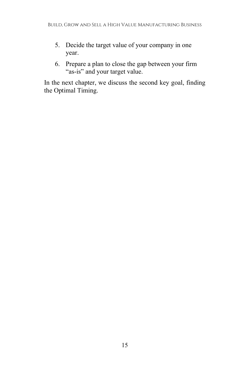- 5. Decide the target value of your company in one year.
- 6. Prepare a plan to close the gap between your firm "as-is" and your target value.

In the next chapter, we discuss the second key goal, finding the Optimal Timing.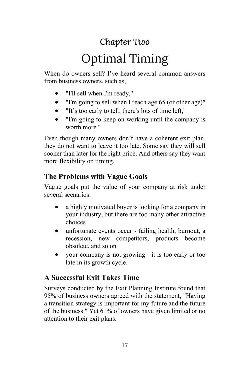# Chapter Two

# Optimal Timing

When do owners sell? I've heard several common answers from business owners, such as,

- "I'll sell when I'm ready,"
- "I'm going to sell when I reach age 65 (or other age)"
- "It's too early to tell, there's lots of time left,"
- "I'm going to keep on working until the company is worth more."

Even though many owners don't have a coherent exit plan, they do not want to leave it too late. Some say they will sell sooner than later for the right price. And others say they want more flexibility on timing.

## The Problems with Vague Goals

Vague goals put the value of your company at risk under several scenarios:

- a highly motivated buyer is looking for a company in your industry, but there are too many other attractive choices
- unfortunate events occur failing health, burnout, a recession, new competitors, products become obsolete, and so on
- your company is not growing it is too early or too late in its growth cycle.

## A Successful Exit Takes Time

Surveys conducted by the Exit Planning Institute found that 95% of business owners agreed with the statement, "Having a transition strategy is important for my future and the future of the business." Yet 61% of owners have given limited or no attention to their exit plans.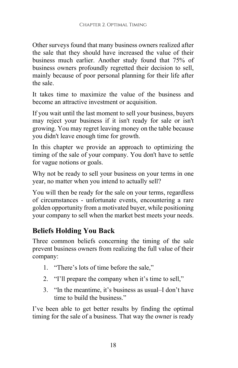Other surveys found that many business owners realized after the sale that they should have increased the value of their business much earlier. Another study found that 75% of business owners profoundly regretted their decision to sell, mainly because of poor personal planning for their life after the sale.

It takes time to maximize the value of the business and become an attractive investment or acquisition.

If you wait until the last moment to sell your business, buyers may reject your business if it isn't ready for sale or isn't growing. You may regret leaving money on the table because you didn't leave enough time for growth.

In this chapter we provide an approach to optimizing the timing of the sale of your company. You don't have to settle for vague notions or goals.

Why not be ready to sell your business on your terms in one year, no matter when you intend to actually sell?

You will then be ready for the sale on your terms, regardless of circumstances - unfortunate events, encountering a rare golden opportunity from a motivated buyer, while positioning your company to sell when the market best meets your needs.

## Beliefs Holding You Back

Three common beliefs concerning the timing of the sale prevent business owners from realizing the full value of their company:

- 1. "There's lots of time before the sale,"
- 2. "I'll prepare the company when it's time to sell,"
- 3. "In the meantime, it's business as usual–I don't have time to build the business."

I've been able to get better results by finding the optimal timing for the sale of a business. That way the owner is ready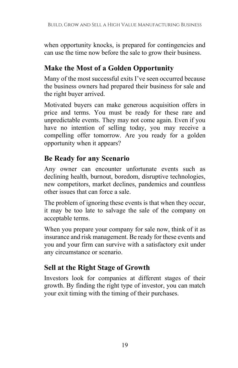when opportunity knocks, is prepared for contingencies and can use the time now before the sale to grow their business.

### Make the Most of a Golden Opportunity

Many of the most successful exits I've seen occurred because the business owners had prepared their business for sale and the right buyer arrived.

Motivated buyers can make generous acquisition offers in price and terms. You must be ready for these rare and unpredictable events. They may not come again. Even if you have no intention of selling today, you may receive a compelling offer tomorrow. Are you ready for a golden opportunity when it appears?

### Be Ready for any Scenario

Any owner can encounter unfortunate events such as declining health, burnout, boredom, disruptive technologies, new competitors, market declines, pandemics and countless other issues that can force a sale.

The problem of ignoring these events is that when they occur, it may be too late to salvage the sale of the company on acceptable terms.

When you prepare your company for sale now, think of it as insurance and risk management. Be ready for these events and you and your firm can survive with a satisfactory exit under any circumstance or scenario.

## Sell at the Right Stage of Growth

Investors look for companies at different stages of their growth. By finding the right type of investor, you can match your exit timing with the timing of their purchases.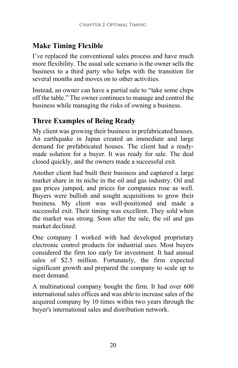# Make Timing Flexible

I've replaced the conventional sales process and have much more flexibility. The usual sale scenario is the owner sells the business to a third party who helps with the transition for several months and moves on to other activities.

Instead, an owner can have a partial sale to "take some chips off the table." The owner continues to manage and control the business while managing the risks of owning a business.

## Three Examples of Being Ready

My client was growing their business in prefabricated houses. An earthquake in Japan created an immediate and large demand for prefabricated houses. The client had a readymade solution for a buyer. It was ready for sale. The deal closed quickly, and the owners made a successful exit.

Another client had built their business and captured a large market share in its niche in the oil and gas industry. Oil and gas prices jumped, and prices for companies rose as well. Buyers were bullish and sought acquisitions to grow their business. My client was well-positioned and made a successful exit. Their timing was excellent. They sold when the market was strong. Soon after the sale, the oil and gas market declined.

One company I worked with had developed proprietary electronic control products for industrial uses. Most buyers considered the firm too early for investment. It had annual sales of \$2.5 million. Fortunately, the firm expected significant growth and prepared the company to scale up to meet demand.

A multinational company bought the firm. It had over 600 international sales offices and was able to increase sales of the acquired company by 10 times within two years through the buyer's international sales and distribution network.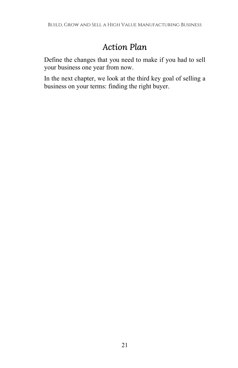# Action Plan

Define the changes that you need to make if you had to sell your business one year from now.

In the next chapter, we look at the third key goal of selling a business on your terms: finding the right buyer.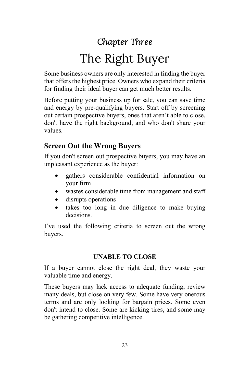# Chapter Three The Right Buyer

Some business owners are only interested in finding the buyer that offers the highest price. Owners who expand their criteria for finding their ideal buyer can get much better results.

Before putting your business up for sale, you can save time and energy by pre-qualifying buyers. Start off by screening out certain prospective buyers, ones that aren't able to close, don't have the right background, and who don't share your values.

### Screen Out the Wrong Buyers

If you don't screen out prospective buyers, you may have an unpleasant experience as the buyer:

- gathers considerable confidential information on your firm
- wastes considerable time from management and staff
- disrupts operations
- takes too long in due diligence to make buying decisions.

I've used the following criteria to screen out the wrong buyers.

#### UNABLE TO CLOSE

If a buyer cannot close the right deal, they waste your valuable time and energy.

These buyers may lack access to adequate funding, review many deals, but close on very few. Some have very onerous terms and are only looking for bargain prices. Some even don't intend to close. Some are kicking tires, and some may be gathering competitive intelligence.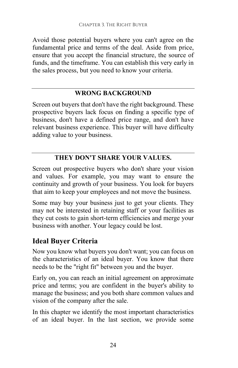Avoid those potential buyers where you can't agree on the fundamental price and terms of the deal. Aside from price, ensure that you accept the financial structure, the source of funds, and the timeframe. You can establish this very early in the sales process, but you need to know your criteria.

#### WRONG BACKGROUND

Screen out buyers that don't have the right background. These prospective buyers lack focus on finding a specific type of business, don't have a defined price range, and don't have relevant business experience. This buyer will have difficulty adding value to your business.

#### THEY DON'T SHARE YOUR VALUES.

Screen out prospective buyers who don't share your vision and values. For example, you may want to ensure the continuity and growth of your business. You look for buyers that aim to keep your employees and not move the business.

Some may buy your business just to get your clients. They may not be interested in retaining staff or your facilities as they cut costs to gain short-term efficiencies and merge your business with another. Your legacy could be lost.

### Ideal Buyer Criteria

Now you know what buyers you don't want; you can focus on the characteristics of an ideal buyer. You know that there needs to be the "right fit" between you and the buyer.

Early on, you can reach an initial agreement on approximate price and terms; you are confident in the buyer's ability to manage the business; and you both share common values and vision of the company after the sale.

In this chapter we identify the most important characteristics of an ideal buyer. In the last section, we provide some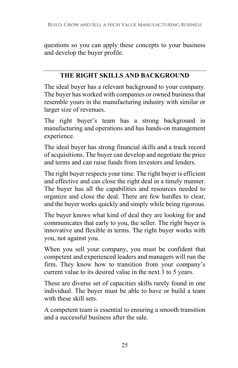questions so you can apply these concepts to your business and develop the buyer profile.

#### THE RIGHT SKILLS AND BACKGROUND

The ideal buyer has a relevant background to your company. The buyer has worked with companies or owned business that resemble yours in the manufacturing industry with similar or larger size of revenues.

The right buyer's team has a strong background in manufacturing and operations and has hands-on management experience.

The ideal buyer has strong financial skills and a track record of acquisitions. The buyer can develop and negotiate the price and terms and can raise funds from investors and lenders.

The right buyer respects your time. The right buyer is efficient and effective and can close the right deal in a timely manner. The buyer has all the capabilities and resources needed to organize and close the deal. There are few hurdles to clear, and the buyer works quickly and simply while being rigorous.

The buyer knows what kind of deal they are looking for and communicates that early to you, the seller. The right buyer is innovative and flexible in terms. The right buyer works with you, not against you.

When you sell your company, you must be confident that competent and experienced leaders and managers will run the firm. They know how to transition from your company's current value to its desired value in the next 3 to 5 years.

These are diverse set of capacities skills rarely found in one individual. The buyer must be able to have or build a team with these skill sets.

A competent team is essential to ensuring a smooth transition and a successful business after the sale.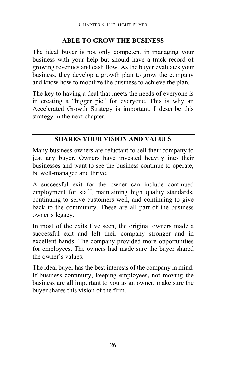#### ABLE TO GROW THE BUSINESS

The ideal buyer is not only competent in managing your business with your help but should have a track record of growing revenues and cash flow. As the buyer evaluates your business, they develop a growth plan to grow the company and know how to mobilize the business to achieve the plan.

The key to having a deal that meets the needs of everyone is in creating a "bigger pie" for everyone. This is why an Accelerated Growth Strategy is important. I describe this strategy in the next chapter.

#### SHARES YOUR VISION AND VALUES

Many business owners are reluctant to sell their company to just any buyer. Owners have invested heavily into their businesses and want to see the business continue to operate, be well-managed and thrive.

A successful exit for the owner can include continued employment for staff, maintaining high quality standards, continuing to serve customers well, and continuing to give back to the community. These are all part of the business owner's legacy.

In most of the exits I've seen, the original owners made a successful exit and left their company stronger and in excellent hands. The company provided more opportunities for employees. The owners had made sure the buyer shared the owner's values.

The ideal buyer has the best interests of the company in mind. If business continuity, keeping employees, not moving the business are all important to you as an owner, make sure the buyer shares this vision of the firm.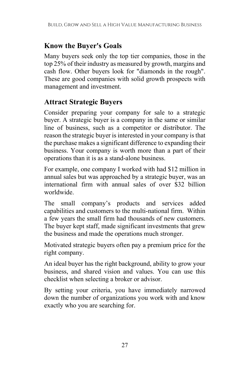## Know the Buyer's Goals

Many buyers seek only the top tier companies, those in the top 25% of their industry as measured by growth, margins and cash flow. Other buyers look for "diamonds in the rough". These are good companies with solid growth prospects with management and investment.

### Attract Strategic Buyers

Consider preparing your company for sale to a strategic buyer. A strategic buyer is a company in the same or similar line of business, such as a competitor or distributor. The reason the strategic buyer is interested in your company is that the purchase makes a significant difference to expanding their business. Your company is worth more than a part of their operations than it is as a stand-alone business.

For example, one company I worked with had \$12 million in annual sales but was approached by a strategic buyer, was an international firm with annual sales of over \$32 billion worldwide.

The small company's products and services added capabilities and customers to the multi-national firm. Within a few years the small firm had thousands of new customers. The buyer kept staff, made significant investments that grew the business and made the operations much stronger.

Motivated strategic buyers often pay a premium price for the right company.

An ideal buyer has the right background, ability to grow your business, and shared vision and values. You can use this checklist when selecting a broker or advisor.

By setting your criteria, you have immediately narrowed down the number of organizations you work with and know exactly who you are searching for.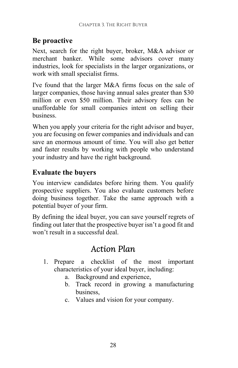## Be proactive

Next, search for the right buyer, broker, M&A advisor or merchant banker. While some advisors cover many industries, look for specialists in the larger organizations, or work with small specialist firms.

I've found that the larger M&A firms focus on the sale of larger companies, those having annual sales greater than \$30 million or even \$50 million. Their advisory fees can be unaffordable for small companies intent on selling their business.

When you apply your criteria for the right advisor and buyer, you are focusing on fewer companies and individuals and can save an enormous amount of time. You will also get better and faster results by working with people who understand your industry and have the right background.

### Evaluate the buyers

You interview candidates before hiring them. You qualify prospective suppliers. You also evaluate customers before doing business together. Take the same approach with a potential buyer of your firm.

By defining the ideal buyer, you can save yourself regrets of finding out later that the prospective buyer isn't a good fit and won't result in a successful deal.

# Action Plan

- 1. Prepare a checklist of the most important characteristics of your ideal buyer, including:
	- a. Background and experience,
	- b. Track record in growing a manufacturing business,
	- c. Values and vision for your company.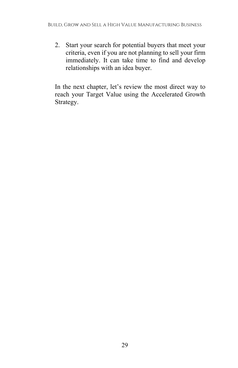2. Start your search for potential buyers that meet your criteria, even if you are not planning to sell your firm immediately. It can take time to find and develop relationships with an idea buyer.

In the next chapter, let's review the most direct way to reach your Target Value using the Accelerated Growth Strategy.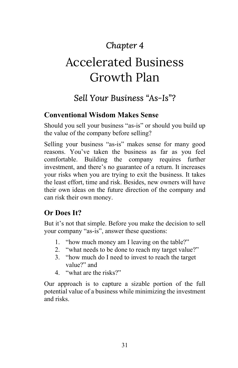# Chapter 4

# Accelerated Business Growth Plan

# Sell Your Business "As-Is"?

### Conventional Wisdom Makes Sense

Should you sell your business "as-is" or should you build up the value of the company before selling?

Selling your business "as-is" makes sense for many good reasons. You've taken the business as far as you feel comfortable. Building the company requires further investment, and there's no guarantee of a return. It increases your risks when you are trying to exit the business. It takes the least effort, time and risk. Besides, new owners will have their own ideas on the future direction of the company and can risk their own money.

### Or Does It?

But it's not that simple. Before you make the decision to sell your company "as-is", answer these questions:

- 1. "how much money am I leaving on the table?"
- 2. "what needs to be done to reach my target value?"
- 3. "how much do I need to invest to reach the target value?" and
- 4. "what are the risks?"

Our approach is to capture a sizable portion of the full potential value of a business while minimizing the investment and risks.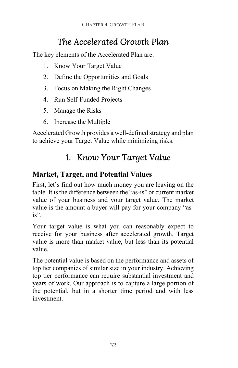# The Accelerated Growth Plan

The key elements of the Accelerated Plan are:

- 1. Know Your Target Value
- 2. Define the Opportunities and Goals
- 3. Focus on Making the Right Changes
- 4. Run Self-Funded Projects
- 5. Manage the Risks
- 6. Increase the Multiple

Accelerated Growth provides a well-defined strategy and plan to achieve your Target Value while minimizing risks.

# 1. Know Your Target Value

## Market, Target, and Potential Values

First, let's find out how much money you are leaving on the table. It is the difference between the "as-is" or current market value of your business and your target value. The market value is the amount a buyer will pay for your company "asis".

Your target value is what you can reasonably expect to receive for your business after accelerated growth. Target value is more than market value, but less than its potential value.

The potential value is based on the performance and assets of top tier companies of similar size in your industry. Achieving top tier performance can require substantial investment and years of work. Our approach is to capture a large portion of the potential, but in a shorter time period and with less investment.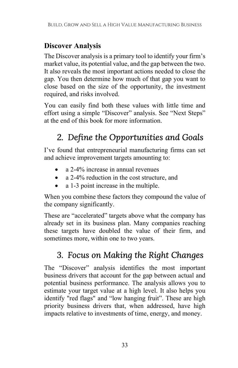# Discover Analysis

The Discover analysis is a primary tool to identify your firm's market value, its potential value, and the gap between the two. It also reveals the most important actions needed to close the gap. You then determine how much of that gap you want to close based on the size of the opportunity, the investment required, and risks involved.

You can easily find both these values with little time and effort using a simple "Discover" analysis. See "Next Steps" at the end of this book for more information.

# 2. Define the Opportunities and Goals

I've found that entrepreneurial manufacturing firms can set and achieve improvement targets amounting to:

- a 2-4% increase in annual revenues
- a 2-4% reduction in the cost structure, and
- a 1-3 point increase in the multiple.

When you combine these factors they compound the value of the company significantly.

These are "accelerated" targets above what the company has already set in its business plan. Many companies reaching these targets have doubled the value of their firm, and sometimes more, within one to two years.

# 3. Focus on Making the Right Changes

The "Discover" analysis identifies the most important business drivers that account for the gap between actual and potential business performance. The analysis allows you to estimate your target value at a high level. It also helps you identify "red flags" and "low hanging fruit". These are high priority business drivers that, when addressed, have high impacts relative to investments of time, energy, and money.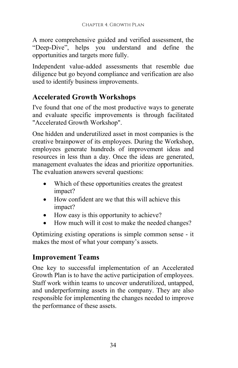A more comprehensive guided and verified assessment, the "Deep-Dive", helps you understand and define the opportunities and targets more fully.

Independent value-added assessments that resemble due diligence but go beyond compliance and verification are also used to identify business improvements.

### Accelerated Growth Workshops

I've found that one of the most productive ways to generate and evaluate specific improvements is through facilitated "Accelerated Growth Workshop".

One hidden and underutilized asset in most companies is the creative brainpower of its employees. During the Workshop, employees generate hundreds of improvement ideas and resources in less than a day. Once the ideas are generated, management evaluates the ideas and prioritize opportunities. The evaluation answers several questions:

- Which of these opportunities creates the greatest impact?
- How confident are we that this will achieve this impact?
- How easy is this opportunity to achieve?
- How much will it cost to make the needed changes?

Optimizing existing operations is simple common sense - it makes the most of what your company's assets.

### Improvement Teams

One key to successful implementation of an Accelerated Growth Plan is to have the active participation of employees. Staff work within teams to uncover underutilized, untapped, and underperforming assets in the company. They are also responsible for implementing the changes needed to improve the performance of these assets.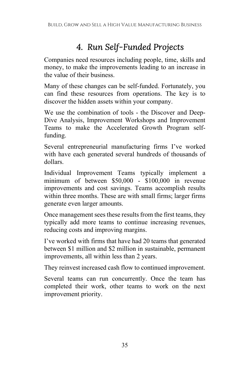# 4. Run Self-Funded Projects

Companies need resources including people, time, skills and money, to make the improvements leading to an increase in the value of their business.

Many of these changes can be self-funded. Fortunately, you can find these resources from operations. The key is to discover the hidden assets within your company.

We use the combination of tools - the Discover and Deep-Dive Analysis, Improvement Workshops and Improvement Teams to make the Accelerated Growth Program selffunding.

Several entrepreneurial manufacturing firms I've worked with have each generated several hundreds of thousands of dollars.

Individual Improvement Teams typically implement a minimum of between \$50,000 - \$100,000 in revenue improvements and cost savings. Teams accomplish results within three months. These are with small firms; larger firms generate even larger amounts.

Once management sees these results from the first teams, they typically add more teams to continue increasing revenues, reducing costs and improving margins.

I've worked with firms that have had 20 teams that generated between \$1 million and \$2 million in sustainable, permanent improvements, all within less than 2 years.

They reinvest increased cash flow to continued improvement.

Several teams can run concurrently. Once the team has completed their work, other teams to work on the next improvement priority.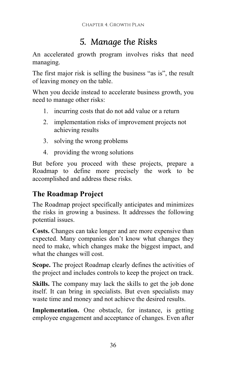# 5. Manage the Risks

An accelerated growth program involves risks that need managing.

The first major risk is selling the business "as is", the result of leaving money on the table.

When you decide instead to accelerate business growth, you need to manage other risks:

- 1. incurring costs that do not add value or a return
- 2. implementation risks of improvement projects not achieving results
- 3. solving the wrong problems
- 4. providing the wrong solutions

But before you proceed with these projects, prepare a Roadmap to define more precisely the work to be accomplished and address these risks.

## The Roadmap Project

The Roadmap project specifically anticipates and minimizes the risks in growing a business. It addresses the following potential issues.

Costs. Changes can take longer and are more expensive than expected. Many companies don't know what changes they need to make, which changes make the biggest impact, and what the changes will cost.

Scope. The project Roadmap clearly defines the activities of the project and includes controls to keep the project on track.

Skills. The company may lack the skills to get the job done itself. It can bring in specialists. But even specialists may waste time and money and not achieve the desired results.

Implementation. One obstacle, for instance, is getting employee engagement and acceptance of changes. Even after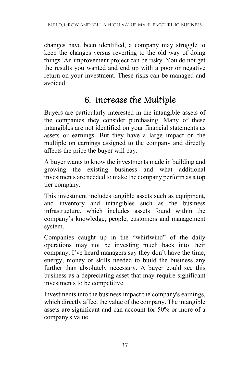changes have been identified, a company may struggle to keep the changes versus reverting to the old way of doing things. An improvement project can be risky. You do not get the results you wanted and end up with a poor or negative return on your investment. These risks can be managed and avoided.

# 6. Increase the Multiple

Buyers are particularly interested in the intangible assets of the companies they consider purchasing. Many of these intangibles are not identified on your financial statements as assets or earnings. But they have a large impact on the multiple on earnings assigned to the company and directly affects the price the buyer will pay.

A buyer wants to know the investments made in building and growing the existing business and what additional investments are needed to make the company perform as a top tier company.

This investment includes tangible assets such as equipment, and inventory and intangibles such as the business infrastructure, which includes assets found within the company's knowledge, people, customers and management system.

Companies caught up in the "whirlwind" of the daily operations may not be investing much back into their company. I've heard managers say they don't have the time, energy, money or skills needed to build the business any further than absolutely necessary. A buyer could see this business as a depreciating asset that may require significant investments to be competitive.

Investments into the business impact the company's earnings, which directly affect the value of the company. The intangible assets are significant and can account for 50% or more of a company's value.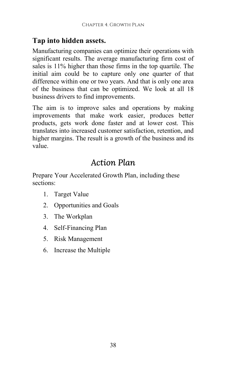### Tap into hidden assets.

Manufacturing companies can optimize their operations with significant results. The average manufacturing firm cost of sales is 11% higher than those firms in the top quartile. The initial aim could be to capture only one quarter of that difference within one or two years. And that is only one area of the business that can be optimized. We look at all 18 business drivers to find improvements.

The aim is to improve sales and operations by making improvements that make work easier, produces better products, gets work done faster and at lower cost. This translates into increased customer satisfaction, retention, and higher margins. The result is a growth of the business and its value.

# Action Plan

Prepare Your Accelerated Growth Plan, including these sections:

- 1. Target Value
- 2. Opportunities and Goals
- 3. The Workplan
- 4. Self-Financing Plan
- 5. Risk Management
- 6. Increase the Multiple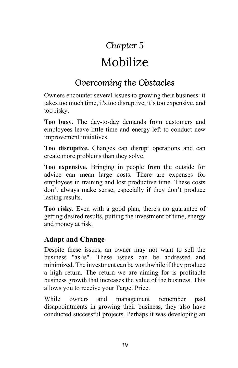# Chapter 5

# Mobilize

# Overcoming the Obstacles

Owners encounter several issues to growing their business: it takes too much time, it's too disruptive, it's too expensive, and too risky.

Too busy. The day-to-day demands from customers and employees leave little time and energy left to conduct new improvement initiatives.

Too disruptive. Changes can disrupt operations and can create more problems than they solve.

Too expensive. Bringing in people from the outside for advice can mean large costs. There are expenses for employees in training and lost productive time. These costs don't always make sense, especially if they don't produce lasting results.

Too risky. Even with a good plan, there's no guarantee of getting desired results, putting the investment of time, energy and money at risk.

### Adapt and Change

Despite these issues, an owner may not want to sell the business "as-is". These issues can be addressed and minimized. The investment can be worthwhile if they produce a high return. The return we are aiming for is profitable business growth that increases the value of the business. This allows you to receive your Target Price.

While owners and management remember past disappointments in growing their business, they also have conducted successful projects. Perhaps it was developing an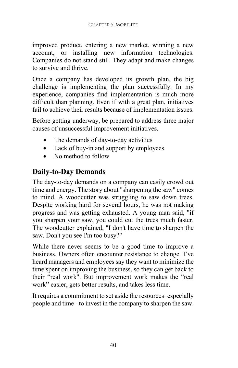improved product, entering a new market, winning a new account, or installing new information technologies. Companies do not stand still. They adapt and make changes to survive and thrive.

Once a company has developed its growth plan, the big challenge is implementing the plan successfully. In my experience, companies find implementation is much more difficult than planning. Even if with a great plan, initiatives fail to achieve their results because of implementation issues.

Before getting underway, be prepared to address three major causes of unsuccessful improvement initiatives.

- The demands of day-to-day activities
- Lack of buy-in and support by employees
- No method to follow

## Daily-to-Day Demands

The day-to-day demands on a company can easily crowd out time and energy. The story about "sharpening the saw" comes to mind. A woodcutter was struggling to saw down trees. Despite working hard for several hours, he was not making progress and was getting exhausted. A young man said, "if you sharpen your saw, you could cut the trees much faster. The woodcutter explained, "I don't have time to sharpen the saw. Don't you see I'm too busy?"

While there never seems to be a good time to improve a business. Owners often encounter resistance to change. I've heard managers and employees say they want to minimize the time spent on improving the business, so they can get back to their "real work". But improvement work makes the "real work" easier, gets better results, and takes less time.

It requires a commitment to set aside the resources–especially people and time - to invest in the company to sharpen the saw.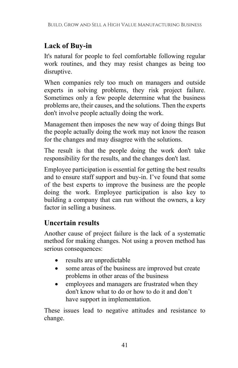# Lack of Buy-in

It's natural for people to feel comfortable following regular work routines, and they may resist changes as being too disruptive.

When companies rely too much on managers and outside experts in solving problems, they risk project failure. Sometimes only a few people determine what the business problems are, their causes, and the solutions. Then the experts don't involve people actually doing the work.

Management then imposes the new way of doing things But the people actually doing the work may not know the reason for the changes and may disagree with the solutions.

The result is that the people doing the work don't take responsibility for the results, and the changes don't last.

Employee participation is essential for getting the best results and to ensure staff support and buy-in. I've found that some of the best experts to improve the business are the people doing the work. Employee participation is also key to building a company that can run without the owners, a key factor in selling a business.

## Uncertain results

Another cause of project failure is the lack of a systematic method for making changes. Not using a proven method has serious consequences:

- results are unpredictable
- some areas of the business are improved but create problems in other areas of the business
- employees and managers are frustrated when they don't know what to do or how to do it and don't have support in implementation.

These issues lead to negative attitudes and resistance to change.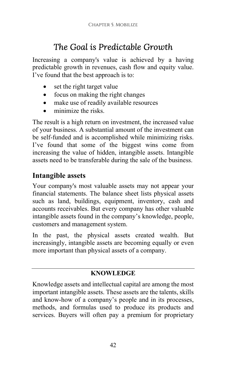# The Goal is Predictable Growth

Increasing a company's value is achieved by a having predictable growth in revenues, cash flow and equity value. I've found that the best approach is to:

- set the right target value
- focus on making the right changes
- make use of readily available resources
- minimize the risks.

The result is a high return on investment, the increased value of your business. A substantial amount of the investment can be self-funded and is accomplished while minimizing risks. I've found that some of the biggest wins come from increasing the value of hidden, intangible assets. Intangible assets need to be transferable during the sale of the business.

### Intangible assets

Your company's most valuable assets may not appear your financial statements. The balance sheet lists physical assets such as land, buildings, equipment, inventory, cash and accounts receivables. But every company has other valuable intangible assets found in the company's knowledge, people, customers and management system.

In the past, the physical assets created wealth. But increasingly, intangible assets are becoming equally or even more important than physical assets of a company.

#### KNOWLEDGE

Knowledge assets and intellectual capital are among the most important intangible assets. These assets are the talents, skills and know-how of a company's people and in its processes, methods, and formulas used to produce its products and services. Buyers will often pay a premium for proprietary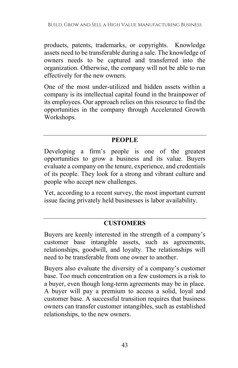products, patents, trademarks, or copyrights. Knowledge assets need to be transferable during a sale. The knowledge of owners needs to be captured and transferred into the organization. Otherwise, the company will not be able to run effectively for the new owners.

One of the most under-utilized and hidden assets within a company is its intellectual capital found in the brainpower of its employees. Our approach relies on this resource to find the opportunities in the company through Accelerated Growth Workshops.

#### **PEOPLE**

Developing a firm's people is one of the greatest opportunities to grow a business and its value. Buyers evaluate a company on the tenure, experience, and credentials of its people. They look for a strong and vibrant culture and people who accept new challenges.

Yet, according to a recent survey, the most important current issue facing privately held businesses is labor availability.

#### **CUSTOMERS**

Buyers are keenly interested in the strength of a company's customer base intangible assets, such as agreements, relationships, goodwill, and loyalty. The relationships will need to be transferable from one owner to another.

Buyers also evaluate the diversity of a company's customer base. Too much concentration on a few customers is a risk to a buyer, even though long-term agreements may be in place. A buyer will pay a premium to access a solid, loyal and customer base. A successful transition requires that business owners can transfer customer intangibles, such as established relationships, to the new owners.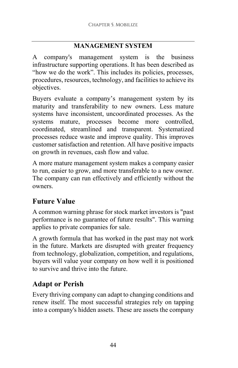### MANAGEMENT SYSTEM

A company's management system is the business infrastructure supporting operations. It has been described as "how we do the work". This includes its policies, processes, procedures, resources, technology, and facilities to achieve its objectives.

Buyers evaluate a company's management system by its maturity and transferability to new owners. Less mature systems have inconsistent, uncoordinated processes. As the systems mature, processes become more controlled, coordinated, streamlined and transparent. Systematized processes reduce waste and improve quality. This improves customer satisfaction and retention. All have positive impacts on growth in revenues, cash flow and value.

A more mature management system makes a company easier to run, easier to grow, and more transferable to a new owner. The company can run effectively and efficiently without the owners.

# Future Value

A common warning phrase for stock market investors is "past performance is no guarantee of future results". This warning applies to private companies for sale.

A growth formula that has worked in the past may not work in the future. Markets are disrupted with greater frequency from technology, globalization, competition, and regulations, buyers will value your company on how well it is positioned to survive and thrive into the future.

# Adapt or Perish

Every thriving company can adapt to changing conditions and renew itself. The most successful strategies rely on tapping into a company's hidden assets. These are assets the company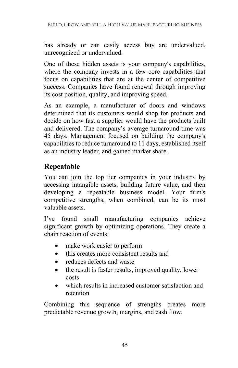has already or can easily access buy are undervalued, unrecognized or undervalued.

One of these hidden assets is your company's capabilities, where the company invests in a few core capabilities that focus on capabilities that are at the center of competitive success. Companies have found renewal through improving its cost position, quality, and improving speed.

As an example, a manufacturer of doors and windows determined that its customers would shop for products and decide on how fast a supplier would have the products built and delivered. The company's average turnaround time was 45 days. Management focused on building the company's capabilities to reduce turnaround to 11 days, established itself as an industry leader, and gained market share.

## Repeatable

You can join the top tier companies in your industry by accessing intangible assets, building future value, and then developing a repeatable business model. Your firm's competitive strengths, when combined, can be its most valuable assets.

I've found small manufacturing companies achieve significant growth by optimizing operations. They create a chain reaction of events:

- make work easier to perform
- this creates more consistent results and
- reduces defects and waste
- the result is faster results, improved quality, lower costs
- which results in increased customer satisfaction and retention

Combining this sequence of strengths creates more predictable revenue growth, margins, and cash flow.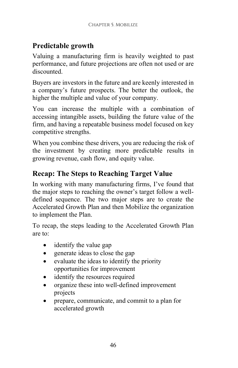# Predictable growth

Valuing a manufacturing firm is heavily weighted to past performance, and future projections are often not used or are discounted.

Buyers are investors in the future and are keenly interested in a company's future prospects. The better the outlook, the higher the multiple and value of your company.

You can increase the multiple with a combination of accessing intangible assets, building the future value of the firm, and having a repeatable business model focused on key competitive strengths.

When you combine these drivers, you are reducing the risk of the investment by creating more predictable results in growing revenue, cash flow, and equity value.

## Recap: The Steps to Reaching Target Value

In working with many manufacturing firms, I've found that the major steps to reaching the owner's target follow a welldefined sequence. The two major steps are to create the Accelerated Growth Plan and then Mobilize the organization to implement the Plan.

To recap, the steps leading to the Accelerated Growth Plan are to:

- identify the value gap
- generate ideas to close the gap
- evaluate the ideas to identify the priority opportunities for improvement
- identify the resources required
- organize these into well-defined improvement projects
- prepare, communicate, and commit to a plan for accelerated growth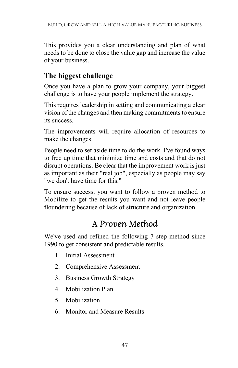This provides you a clear understanding and plan of what needs to be done to close the value gap and increase the value of your business.

## The biggest challenge

Once you have a plan to grow your company, your biggest challenge is to have your people implement the strategy.

This requires leadership in setting and communicating a clear vision of the changes and then making commitments to ensure its success.

The improvements will require allocation of resources to make the changes.

People need to set aside time to do the work. I've found ways to free up time that minimize time and costs and that do not disrupt operations. Be clear that the improvement work is just as important as their "real job", especially as people may say "we don't have time for this."

To ensure success, you want to follow a proven method to Mobilize to get the results you want and not leave people floundering because of lack of structure and organization.

# A Proven Method

We've used and refined the following 7 step method since 1990 to get consistent and predictable results.

- 1. Initial Assessment
- 2. Comprehensive Assessment
- 3. Business Growth Strategy
- 4. Mobilization Plan
- 5. Mobilization
- 6. Monitor and Measure Results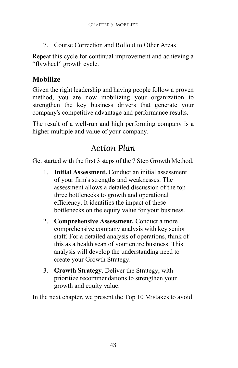7. Course Correction and Rollout to Other Areas

Repeat this cycle for continual improvement and achieving a "flywheel" growth cycle.

## Mobilize

Given the right leadership and having people follow a proven method, you are now mobilizing your organization to strengthen the key business drivers that generate your company's competitive advantage and performance results.

The result of a well-run and high performing company is a higher multiple and value of your company.

# Action Plan

Get started with the first 3 steps of the 7 Step Growth Method.

- 1. Initial Assessment. Conduct an initial assessment of your firm's strengths and weaknesses. The assessment allows a detailed discussion of the top three bottlenecks to growth and operational efficiency. It identifies the impact of these bottlenecks on the equity value for your business.
- 2. Comprehensive Assessment. Conduct a more comprehensive company analysis with key senior staff. For a detailed analysis of operations, think of this as a health scan of your entire business. This analysis will develop the understanding need to create your Growth Strategy.
- 3. Growth Strategy. Deliver the Strategy, with prioritize recommendations to strengthen your growth and equity value.

In the next chapter, we present the Top 10 Mistakes to avoid.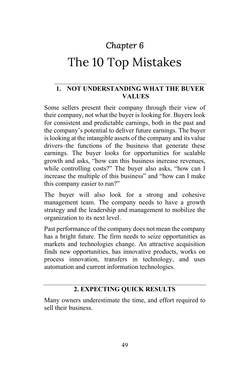# Chapter 6

# The 10 Top Mistakes

#### 1. NOT UNDERSTANDING WHAT THE BUYER VALUES

Some sellers present their company through their view of their company, not what the buyer is looking for. Buyers look for consistent and predictable earnings, both in the past and the company's potential to deliver future earnings. The buyer is looking at the intangible assets of the company and its value drivers–the functions of the business that generate these earnings. The buyer looks for opportunities for scalable growth and asks, "how can this business increase revenues, while controlling costs?" The buyer also asks, "how can I increase the multiple of this business" and "how can I make this company easier to run?"

The buyer will also look for a strong and cohesive management team. The company needs to have a growth strategy and the leadership and management to mobilize the organization to its next level.

Past performance of the company does not mean the company has a bright future. The firm needs to seize opportunities as markets and technologies change. An attractive acquisition finds new opportunities, has innovative products, works on process innovation, transfers in technology, and uses automation and current information technologies.

#### 2. EXPECTING QUICK RESULTS

Many owners underestimate the time, and effort required to sell their business.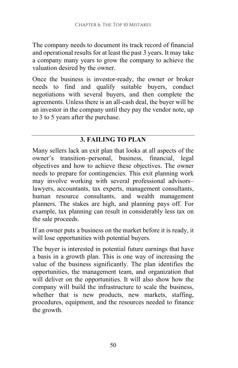The company needs to document its track record of financial and operational results for at least the past 3 years. It may take a company many years to grow the company to achieve the valuation desired by the owner.

Once the business is investor-ready, the owner or broker needs to find and qualify suitable buyers, conduct negotiations with several buyers, and then complete the agreements. Unless there is an all-cash deal, the buyer will be an investor in the company until they pay the vendor note, up to 3 to 5 years after the purchase.

#### 3. FAILING TO PLAN

Many sellers lack an exit plan that looks at all aspects of the owner's transition–personal, business, financial, legal objectives and how to achieve these objectives. The owner needs to prepare for contingencies. This exit planning work may involve working with several professional advisors– lawyers, accountants, tax experts, management consultants, human resource consultants, and wealth management planners. The stakes are high, and planning pays off. For example, tax planning can result in considerably less tax on the sale proceeds.

If an owner puts a business on the market before it is ready, it will lose opportunities with potential buyers.

The buyer is interested in potential future earnings that have a basis in a growth plan. This is one way of increasing the value of the business significantly. The plan identifies the opportunities, the management team, and organization that will deliver on the opportunities. It will also show how the company will build the infrastructure to scale the business, whether that is new products, new markets, staffing, procedures, equipment, and the resources needed to finance the growth.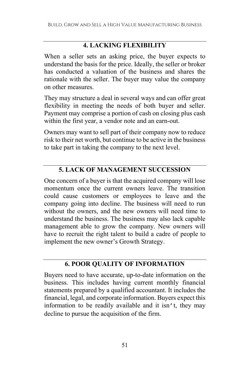#### 4. LACKING FLEXIBILITY

When a seller sets an asking price, the buyer expects to understand the basis for the price. Ideally, the seller or broker has conducted a valuation of the business and shares the rationale with the seller. The buyer may value the company on other measures.

They may structure a deal in several ways and can offer great flexibility in meeting the needs of both buyer and seller. Payment may comprise a portion of cash on closing plus cash within the first year, a vendor note and an earn-out.

Owners may want to sell part of their company now to reduce risk to their net worth, but continue to be active in the business to take part in taking the company to the next level.

### 5. LACK OF MANAGEMENT SUCCESSION

One concern of a buyer is that the acquired company will lose momentum once the current owners leave. The transition could cause customers or employees to leave and the company going into decline. The business will need to run without the owners, and the new owners will need time to understand the business. The business may also lack capable management able to grow the company. New owners will have to recruit the right talent to build a cadre of people to implement the new owner's Growth Strategy.

#### 6. POOR QUALITY OF INFORMATION

Buyers need to have accurate, up-to-date information on the business. This includes having current monthly financial statements prepared by a qualified accountant. It includes the financial, legal, and corporate information. Buyers expect this information to be readily available and it isn't, they may decline to pursue the acquisition of the firm.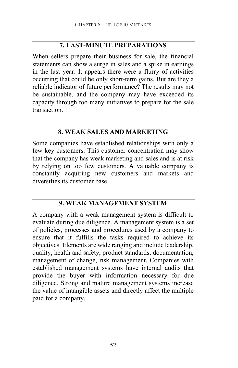#### 7. LAST-MINUTE PREPARATIONS

When sellers prepare their business for sale, the financial statements can show a surge in sales and a spike in earnings in the last year. It appears there were a flurry of activities occurring that could be only short-term gains. But are they a reliable indicator of future performance? The results may not be sustainable, and the company may have exceeded its capacity through too many initiatives to prepare for the sale transaction.

### 8. WEAK SALES AND MARKETING

Some companies have established relationships with only a few key customers. This customer concentration may show that the company has weak marketing and sales and is at risk by relying on too few customers. A valuable company is constantly acquiring new customers and markets and diversifies its customer base.

#### 9. WEAK MANAGEMENT SYSTEM

A company with a weak management system is difficult to evaluate during due diligence. A management system is a set of policies, processes and procedures used by a company to ensure that it fulfills the tasks required to achieve its objectives. Elements are wide ranging and include leadership, quality, health and safety, product standards, documentation, management of change, risk management. Companies with established management systems have internal audits that provide the buyer with information necessary for due diligence. Strong and mature management systems increase the value of intangible assets and directly affect the multiple paid for a company.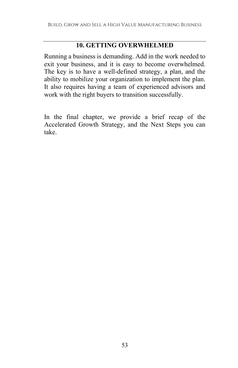#### 10. GETTING OVERWHELMED

Running a business is demanding. Add in the work needed to exit your business, and it is easy to become overwhelmed. The key is to have a well-defined strategy, a plan, and the ability to mobilize your organization to implement the plan. It also requires having a team of experienced advisors and work with the right buyers to transition successfully.

In the final chapter, we provide a brief recap of the Accelerated Growth Strategy, and the Next Steps you can take.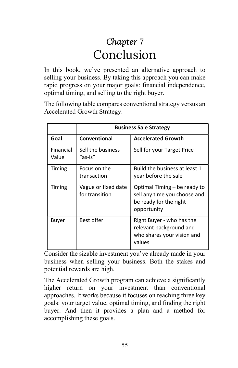# Chapter 7 Conclusion

In this book, we've presented an alternative approach to selling your business. By taking this approach you can make rapid progress on your major goals: financial independence, optimal timing, and selling to the right buyer.

The following table compares conventional strategy versus an Accelerated Growth Strategy.

|                    | <b>Business Sale Strategy</b>         |                                                                                                       |
|--------------------|---------------------------------------|-------------------------------------------------------------------------------------------------------|
| Goal               | Conventional                          | <b>Accelerated Growth</b>                                                                             |
| Financial<br>Value | Sell the business<br>"as-is"          | Sell for your Target Price                                                                            |
| Timing             | Focus on the<br>transaction           | Build the business at least 1<br>year before the sale                                                 |
| Timing             | Vague or fixed date<br>for transition | Optimal Timing – be ready to<br>sell any time you choose and<br>be ready for the right<br>opportunity |
| Buyer              | Best offer                            | Right Buyer - who has the<br>relevant background and<br>who shares your vision and<br>values          |

Consider the sizable investment you've already made in your business when selling your business. Both the stakes and potential rewards are high.

The Accelerated Growth program can achieve a significantly higher return on your investment than conventional approaches. It works because it focuses on reaching three key goals: your target value, optimal timing, and finding the right buyer. And then it provides a plan and a method for accomplishing these goals.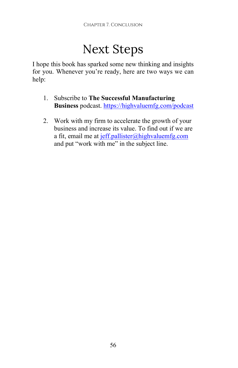# Next Steps

I hope this book has sparked some new thinking and insights for you. Whenever you're ready, here are two ways we can help:

- 1. Subscribe to The Successful Manufacturing Business podcast. https://highvaluemfg.com/podcast
- 2. Work with my firm to accelerate the growth of your business and increase its value. To find out if we are a fit, email me at jeff.pallister@highvaluemfg.com and put "work with me" in the subject line.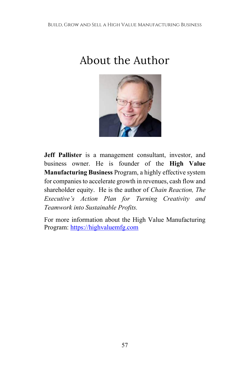# About the Author



Jeff Pallister is a management consultant, investor, and business owner. He is founder of the High Value Manufacturing Business Program, a highly effective system for companies to accelerate growth in revenues, cash flow and shareholder equity. He is the author of Chain Reaction, The Executive's Action Plan for Turning Creativity and Teamwork into Sustainable Profits.

For more information about the High Value Manufacturing Program: https://highvaluemfg.com